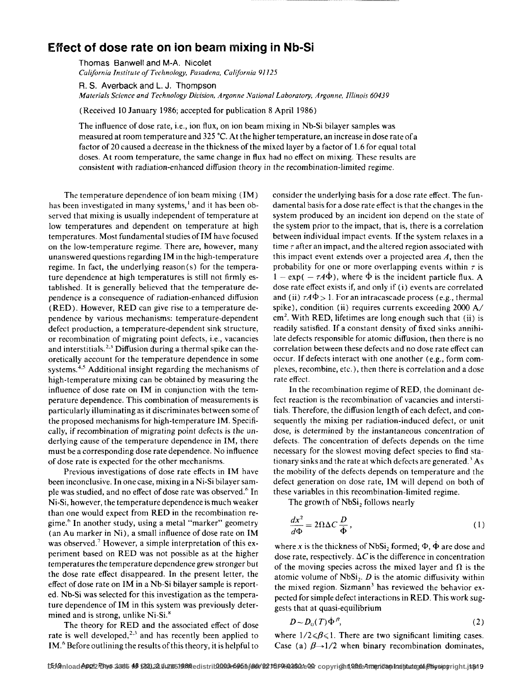## **Effect of dose rate on ion beam mixing in Nb-Si**

Thomas Banwell and M-A. Nicolet *California Institute of Technology, Pasadena, California 9/125* 

R. S. Averback and L. J. Thompson *Materials Science and Technology Division, Argonne National Laboratory, Argonne, Illinois 60439* 

(Received 10 January 1986; accepted for publication 8 April 1986)

The influence of dose rate, i.e., ion flux, on ion beam mixing in Nb-Si bilayer samples was measured at room temperature and 325 °C. At the higher temperature, an increase in dose rate of a factor of 20 caused a decrease in the thickness of the mixed layer by a factor of 1.6 for equal total doses. At room temperature, the same change in flux had no effect on mixing. These results are *consistent* with radiation-enhanced diffusion theory in the recombination-limited regime.

The temperature dependence of ion beam mixing (IM) has been investigated in many systems, $<sup>1</sup>$  and it has been ob-</sup> served that mixing is usually independent of temperature at low temperatures and dependent on temperature at high temperatures. Most fundamental studies of IM have focused on the low-temperature regime. There are, however, many unanswered questions regarding IM in the high-temperature regime. In fact, the underlying reason(s) for the temperature dependence at high temperatures is still not firmly established. It is generally believed that the temperature dependence is a consequence of radiation-enhanced diffusion (RED). However, RED can give rise to a temperature dependence by various mechanisms: temperature-dependent defect production, a temperature-dependent sink structure, or recombination of migrating point defects, i.e., vacancies and interstitials.<sup>2,3</sup> Diffusion during a thermal spike can theoretically account for the temperature dependence in some systems.<sup>4,5</sup> Additional insight regarding the mechanisms of high-temperature mixing can be obtained by measuring the influence of dose rate on IM in conjunction with the temperature dependence. This combination of measurements is particularly illuminating as it discriminates between some of the proposed mechanisms for high-temperature IM. Specifically, if recombination of migrating point defects is the underlying cause of the temperature dependence in IM, there must be a corresponding dose rate dependence. No influence of dose rate is expected for the other mechanisms.

Previous investigations of dose rate effects in IM have been inconclusive. In one case, mixing in a Ni-Si bilayer sample was studied, and no effect of dose rate was observed.<sup>6</sup> In Ni-Si, however, the temperature dependence is much weaker than one would expect from RED in the recombination regime.6 In another study, using a metal "marker" geometry (an Au marker in Ni), a small influence of dose rate on IM was observed.<sup>7</sup> However, a simple interpretation of this experiment based on RED was not possible as at the higher temperatures the temperature dependence grew stronger *but*  the dose rate effect disappeared. In the present letter, the effect of dose rate on IM in a Nb-Si bilayer sample is reported. Nb-Si was selected for this investigation as the temperature dependence of IM in this system was previously determined and is strong, unlike Ni-Si.<sup>8</sup>

The theory for RED and the associated effect of dose rate is well developed, $2.3$  and has recently been applied to IM.6 Before outlining the results of this theory, it is helpful to

consider the underlying basis for a dose rate effect. The fundamental basis for a dose rate effect is that the changes in the system produced by an incident ion depend on the state of the system prior to the impact, that is, there is a correlation between individual impact events. If the system relaxes in a time  $\tau$  after an impact, and the altered region associated with this impact event extends over a projected area  $A$ , then the probability for one or more overlapping events within  $\tau$  is  $1 - \exp(- \tau A \dot{\Phi})$ , where  $\dot{\Phi}$  is the incident particle flux. A dose rate effect exists if, and only if (i) events are correlated and (ii)  $\tau A\Phi > 1$ . For an intracascade process (e.g., thermal spike), condition (ii) requires currents exceeding 2000 A/  $cm<sup>2</sup>$ . With RED, lifetimes are long enough such that (ii) is readily satisfied. If a constant density of fixed sinks annihilate defects responsible for atomic diffusion, then there is no correlation between these defects and no dose rate effect can occur. If defects interact with one another (e.g., form complexes, recombine, etc.), then there is correlation and a dose rate effect.

In the recombination regime of RED, the dominant defect reaction is the recombination of vacancies and interstitials. Therefore, the diffusion length of each defect, and consequently the mixing per radiation-induced defect, or unit dose, is determined by the instantaneous concentration of defects. The concentration of defects depends on the time necessary for the slowest moving defect species to find stationary sinks and the rate at which defects are generated.' As the mobility of the defects depends on temperature and the defect generation on dose rate, IM will depend on both of these variables in this recombination-limited regime.

The growth of NbSi, follows nearly

$$
\frac{dx^2}{d\Phi} = 2\Omega \Delta C \frac{D}{\dot{\Phi}},\tag{1}
$$

where x is the thickness of NbSi<sub>2</sub> formed;  $\Phi$ ,  $\dot{\Phi}$  are dose and dose rate, respectively.  $\Delta C$  is the difference in concentration of the moving species across the mixed layer and  $\Omega$  is the atomic volume of  $NbSi<sub>2</sub>$ . D is the atomic diffusivity within the mixed region. Sizmann<sup>3</sup> has reviewed the behavior expected for simple defect interactions in RED. This work suggests that at quasi-equilibrium

$$
D \sim D_0(T) \dot{\Phi}^{\beta}, \tag{2}
$$

where  $1/2 \le \beta \le 1$ . There are two significant limiting cases. Case (a)  $\beta \rightarrow 1/2$  when binary recombination dominates,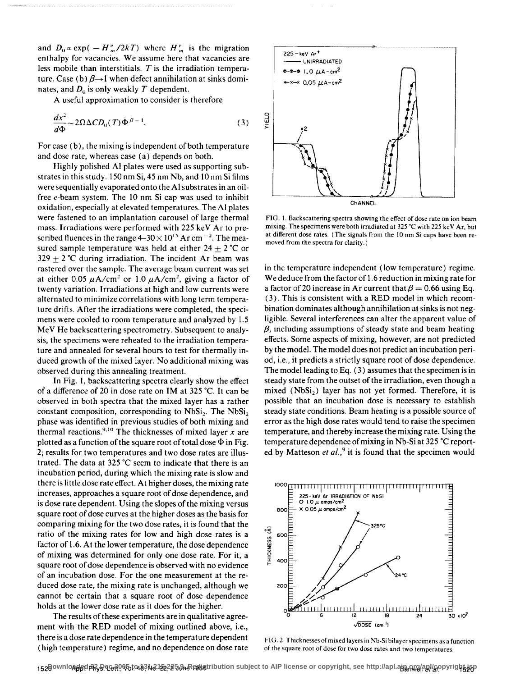and  $D_0 \propto \exp(-H_m^v/2kT)$  where  $H_m^v$  is the migration enthalpy for vacancies. We assume here that vacancies are less mobile than interstitials. *T* is the irradiation temperature. Case (b)  $\beta \rightarrow 1$  when defect annihilation at sinks dominates, and  $D_0$  is only weakly T dependent.

A useful approximation to consider is therefore

$$
\frac{dx^2}{d\Phi} \sim 2\Omega \Delta CD_0(T) \dot{\Phi}^{\beta - 1}.
$$
 (3)

For case (b), the mixing is independent of both temperature and dose rate, whereas case (a) depends on both.

Highly polished AI plates were used as supporting substrates in this study. 150 nm Si, 45 nm Nb, and 10 nm Si films were sequentially evaporated onto the AI substrates in an oilfree e-beam system. The 10 nm Si cap was used to inhibit oxidation, especially at elevated temperatures. The AI plates were fastened to an implantation carousel of large thermal mass. Irradiations were performed with 225 keY Ar to prescribed fluences in the range 4–30 $\times$  10<sup>15</sup> Ar cm<sup>-2</sup>. The measured sample temperature was held at either  $24 \pm 2$  °C or 329  $\pm$  2 °C during irradiation. The incident Ar beam was rastered over the sample. The average beam current was set at either 0.05  $\mu$ A/cm<sup>2</sup> or 1.0  $\mu$ A/cm<sup>2</sup>, giving a factor of twenty variation. Irradiations at high and low currents were alternated to minimize correlations with long term temperature drifts. After the irradiations were completed, the specimens were cooled to room temperature and analyzed by 1.5 MeV He backscattering spectrometry. Subsequent to analysis, the specimens were reheated to the irradiation temperature and annealed for several hours to test for thermally induced growth of the mixed layer. No additional mixing was observed during this annealing treatment.

In Fig. I, backscattering spectra clearly show the effect of a difference of 20 in dose rate on IM at 325 °C. It can be observed in both spectra that the mixed layer has a rather constant composition, corresponding to  $NbSi<sub>2</sub>$ . The  $NbSi<sub>2</sub>$ phase was identified in previous studies of both mixing and thermal reactions. <sup>9</sup> • 10 The thicknesses of mixed layer *x* are plotted as a function of the square root of total dose  $\Phi$  in Fig. 2; results for two temperatures and two dose rates are illustrated. The data at 325 °C seem to indicate that there is an incubation period, during which the mixing rate is slow and there is little dose rate effect. At higher doses, the mixing rate increases, approaches a square root of dose dependence, and is dose rate dependent. Using the slopes of the mixing versus square root of dose curves at the higher doses as the basis for comparing mixing for the two dose rates, it is found that the ratio of the mixing rates for low and high dose rates is a factor of 1.6. At the lower temperature, the dose dependence of mixing was determined for only one dose rate. For it, a square root of dose dependence is observed with no evidence of an incubation dose. For the one measurement at the reduced dose rate, the mixing rate is unchanged, although we cannot be certain that a square root of dose dependence holds at the lower dose rate as it does for the higher.

The results of these experiments are in qualitative agreement with the **RED** model of mixing outlined above, i.e., there is a dose rate dependence in the temperature dependent (high temperature) regime, and no dependence on dose rate



**CHANNEL** 

FIG. I. Backscattering spectra showing the effect of dose rate on ion beam mixing. The specimens were both irradiated at 325 °C with 225 keV Ar, but at different dose rates. (The signals from the 10 nm Si caps have been removed from the spectra for clarity.)

in the temperature independent (low temperature) regime. We deduce from the factor of 1.6 reduction in mixing rate for a factor of 20 increase in Ar current that  $\beta = 0.66$  using Eq. (3). This is consistent with a RED model in which recombination dominates although annihilation at sinks is not negligible. Several interferences can alter the apparent value of  $\beta$ , including assumptions of steady state and beam heating effects. Some aspects of mixing, however, are not predicted by the model. The model does not predict an incubation period, i.e., it predicts a strictly square root of dose dependence. The model leading to Eq. ( 3) assumes that the specimen is in steady state from the outset of the irradiation, even though a mixed  $(NbSi<sub>2</sub>)$  layer has not yet formed. Therefore, it is possible that an incubation dose is necessary to establish steady state conditions. Beam heating is a possible source of error as the high dose rates would tend to raise the specimen temperature, and thereby increase the mixing rate. Using the temperature dependence of mixing in Nb-Si at 325 °C reported by Matteson *et al.*,<sup>9</sup> it is found that the specimen would



FIG. 2. Thicknesses of mixed layers in Nb-Si bilayer specimens as a function of the square root of dose for two dose rates and two temperatures.